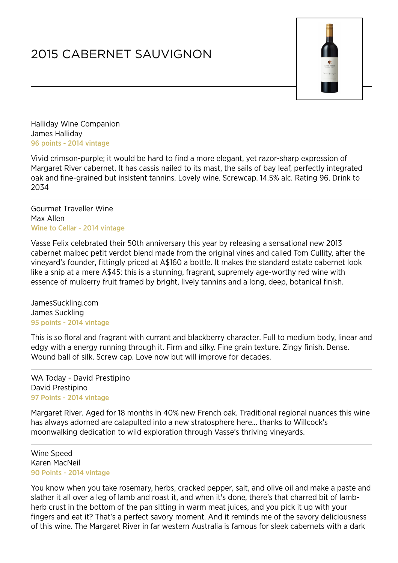## 2015 CABERNET SAUVIGNON



Halliday Wine Companion James Halliday 96 points - 2014 vintage

Vivid crimson-purple; it would be hard to find a more elegant, yet razor-sharp expression of Margaret River cabernet. It has cassis nailed to its mast, the sails of bay leaf, perfectly integrated oak and fine-grained but insistent tannins. Lovely wine. Screwcap. 14.5% alc. Rating 96. Drink to 2034

Gourmet Traveller Wine Max Allen Wine to Cellar - 2014 vintage

Vasse Felix celebrated their 50th anniversary this year by releasing a sensational new 2013 cabernet malbec petit verdot blend made from the original vines and called Tom Cullity, after the vineyard's founder, fittingly priced at A\$160 a bottle. It makes the standard estate cabernet look like a snip at a mere A\$45: this is a stunning, fragrant, supremely age-worthy red wine with essence of mulberry fruit framed by bright, lively tannins and a long, deep, botanical finish.

JamesSuckling.com James Suckling 95 points - 2014 vintage

This is so floral and fragrant with currant and blackberry character. Full to medium body, linear and edgy with a energy running through it. Firm and silky. Fine grain texture. Zingy finish. Dense. Wound ball of silk. Screw cap. Love now but will improve for decades.

WA Today - David Prestipino David Prestipino 97 Points - 2014 vintage

Margaret River. Aged for 18 months in 40% new French oak. Traditional regional nuances this wine has always adorned are catapulted into a new stratosphere here... thanks to Willcock's moonwalking dedication to wild exploration through Vasse's thriving vineyards.

Wine Speed Karen MacNeil 90 Points - 2014 vintage

You know when you take rosemary, herbs, cracked pepper, salt, and olive oil and make a paste and slather it all over a leg of lamb and roast it, and when it's done, there's that charred bit of lambherb crust in the bottom of the pan sitting in warm meat juices, and you pick it up with your fingers and eat it? That's a perfect savory moment. And it reminds me of the savory deliciousness of this wine. The Margaret River in far western Australia is famous for sleek cabernets with a dark